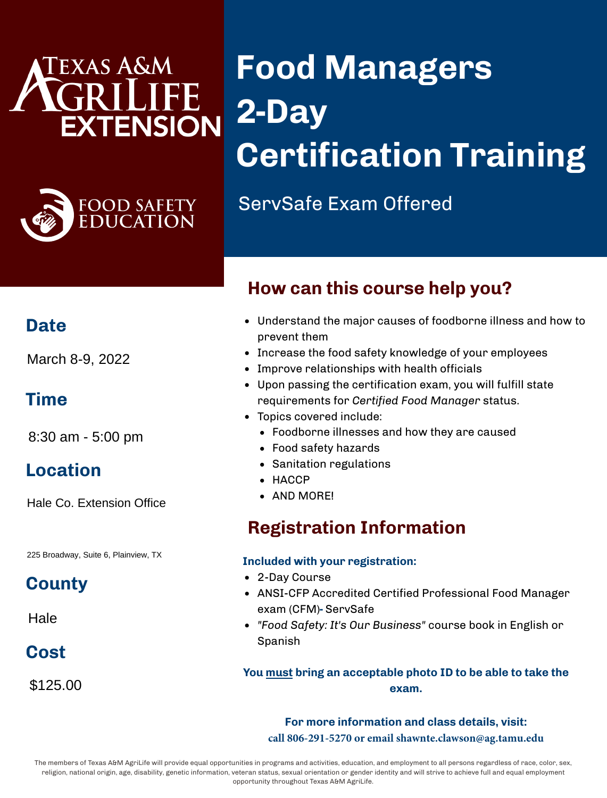## EXAS A&M **EXTENSION**



# **Food Managers 2-Day Certification Training**

ServSafe Exam Offered

#### **Date**

March 8-9, 2022

#### **Time**

8:30 am - 5:00 pm

#### **Location**

Hale Co. Extension Office

225 Broadway, Suite 6, Plainview, TX

#### **County**

Hale

### **Cost**

\$125.00

## Understand the major causes of foodborne illness and how to

Increase the food safety knowledge of your employees

**How can this course help you?**

- Improve relationships with health officials
- Upon passing the certification exam, you will fulfill state requirements for *Certified Food Manager* status.
- Topics covered include:
	- Foodborne illnesses and how they are caused
	- Food safety hazards
	- Sanitation regulations
	- HACCP
	- AND MORE!

prevent them

### **Registration Information**

#### **Included with your registration:**

- 2-Day Course
- ANSI-CFP Accredited Certified Professional Food Manager exam (CFM)**-** ServSafe
- *"Food Safety: It's Our Business"* course book in English or Spanish

#### **You must bring an acceptable photo ID to be able to take the exam.**

**For more information and class details, visit: call 806-291-5270 or email shawnte.clawson@ag.tamu.edu**

The members of Texas A&M AgriLife will provide equal opportunities in programs and activities, education, and employment to all persons regardless of race, color, sex, religion, national origin, age, disability, genetic information, veteran status, sexual orientation or gender identity and will strive to achieve full and equal employment opportunity throughout Texas A&M AgriLife.